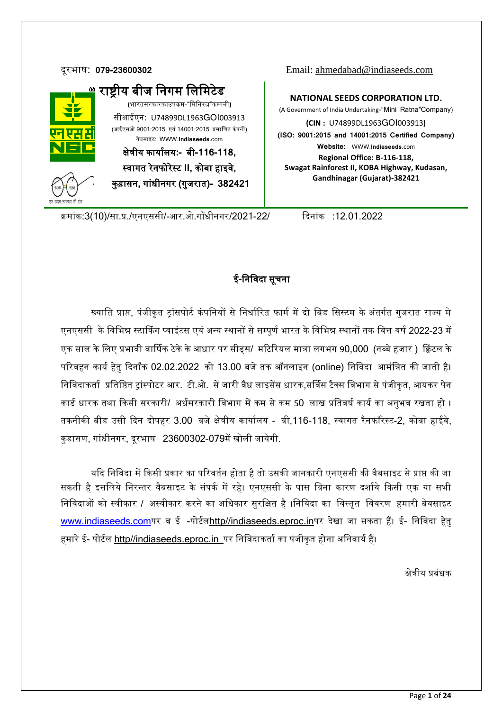

दूरभाष: **079-23600302** Email: [ahmedabad@indiaseeds.com](mailto:ahmedabad@indiaseeds.com)

**NATIONAL SEEDS CORPORATION LTD.** (A Government of India Undertaking-"Mini Ratna"Company) **(CIN :** U74899DL1963GOI003913**) (ISO: 9001:2015 and 14001:2015 Certified Company) Website:** WWW.**Indiaseeds**.com **Regional Office: B-116-118, Swagat Rainforest II, KOBA Highway, Kudasan, Gandhinagar (Gujarat)-382421**

कमांक:3(10)/सा.प्र./एनएससी/-आर.ओ.गाँधीनगर/2021-22/ दिनांक :12.01.2022

# ई**-**नननिदा सूचना

ख्याति प्राप्त, पंजीकृत ट्रांसपोर्ट कंपनियों से निर्धारित फार्म में दो बिड सिस्टम के अंतर्गत गुजरात राज्य मे एनएससी के विभिन्न स्टार्किंग प्वाइंटस एवं अन्य स्थानों से सम्पूर्ण भारत के विभिन्न स्थानों तक वित्त वर्ष 2022-23 में एक साल के लिए प्रभावी वार्षिक ठेके के आधार पर सीड्स/ मटिरियल मात्रा लगभग 90,000 (नब्बे हजार ) क्विंटल के परिवहन कार्य हेतु दिनाँक 02.02.2022 को 13.00 बजे तक ऑनलाइन (online) निविदा आमंत्रित की जाती है। निविदाकर्ता प्रतिष्ठित ट्रांस्पोटर आर. टी.ओ. सें जारी वैध लाइसेंस धारक,सर्विस टैक्स विभाग से पंजीकृत, आयकर पेन कार्ड धारक तथा किसी सरकारी/ अर्धसरकारी विभाग में कम से कम 50 लाख प्रतिवर्ष कार्य का अनुभव रखता हो । तकनीकी बीड उसी दिन दोपहर 3.00 बजे क्षेत्रीय कार्यालय - बी,116-118, स्वागत रैनफॉरेस्ट-2, कोबा हाईवे, कुडासण, गांधीनगर, दूरभाष 23600302-079में खोली जायेगी.

यदि निविदा में किसी प्रकार का परिवर्तन होता है तो उसकी जानकारी एनएससी की वैबसाइट से प्राप्त की जा सकती है इसलिये निरन्तर वैबसाइट के संपर्क में रहे। एनएससी के पास बिना कारण दर्शाये किसी एक या सभी निविदाओं को स्वीकार / अस्वीकार करने का अधिकार सुरक्षित है ।निविदा का विस्तृत विवरण हमारी बेवसाइट [www.indiaseeds.com](http://www.indiaseeds.com/)पर व ई -पोर्टलhttp//indiaseeds.eproc.inपर देखा जा सकता हैं। ई- निविदा हेतु हमारे ई- पोर्टल http//indiaseeds.eproc.in\_पर निविदाकर्ता का पंजीकृत होना अनिवार्य हैं।

क्षेत्रीय प्रबंधक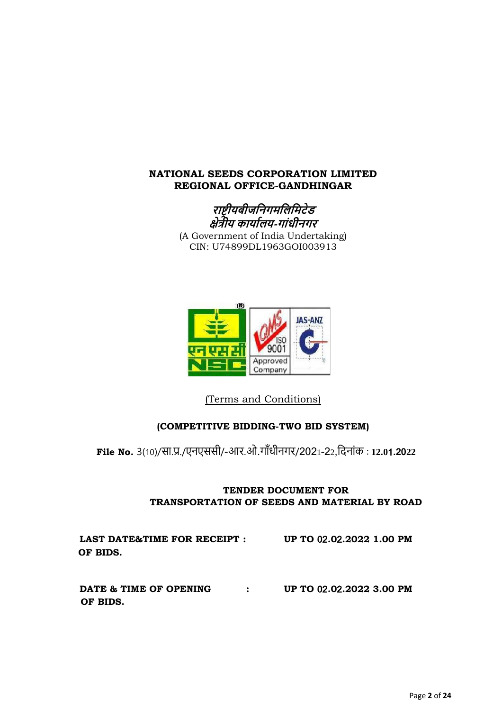# **NATIONAL SEEDS CORPORATION LIMITED REGIONAL OFFICE-GANDHINGAR**





(Terms and Conditions)

# **(COMPETITIVE BIDDING-TWO BID SYSTEM)**

**File No.** 3(10)/सा.प्र./एनएससी/-आर.ओ.गााँधीनगर /2021-22,दिनाांक : **12.0**1**.2022**

# **TENDER DOCUMENT FOR TRANSPORTATION OF SEEDS AND MATERIAL BY ROAD**

 **LAST DATE&TIME FOR RECEIPT : UP TO** 02**.0**2**.2022 1.00 PM OF BIDS. DATE & TIME OF OPENING : UP TO** 02**.0**2**.2022 3.00 PM OF BIDS.**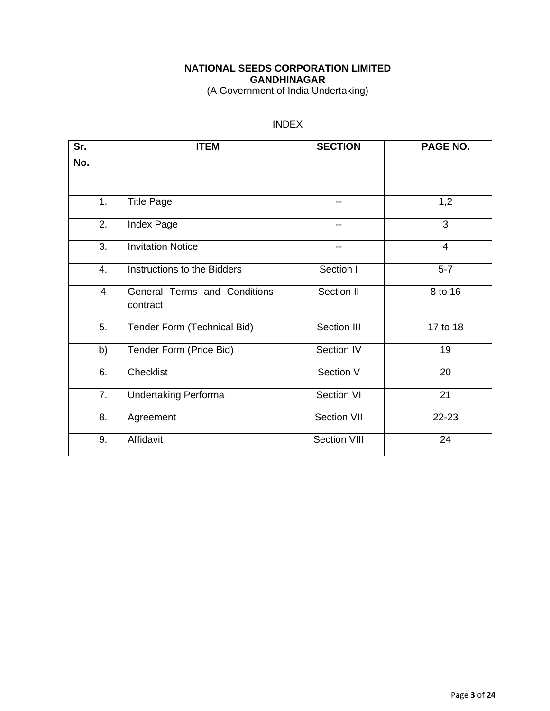# **NATIONAL SEEDS CORPORATION LIMITED GANDHINAGAR**

(A Government of India Undertaking)

# INDEX

| Sr. | <b>ITEM</b>                              | <b>SECTION</b>      | PAGE NO. |
|-----|------------------------------------------|---------------------|----------|
| No. |                                          |                     |          |
|     |                                          |                     |          |
| 1.  | <b>Title Page</b>                        | --                  | 1,2      |
| 2.  | Index Page                               | $- -$               | 3        |
| 3.  | <b>Invitation Notice</b>                 | --                  | 4        |
| 4.  | Instructions to the Bidders              | Section I           | $5-7$    |
| 4   | General Terms and Conditions<br>contract | Section II          | 8 to 16  |
| 5.  | Tender Form (Technical Bid)              | Section III         | 17 to 18 |
| b)  | Tender Form (Price Bid)                  | Section IV          | 19       |
| 6.  | Checklist                                | Section V           | 20       |
| 7.  | <b>Undertaking Performa</b>              | Section VI          | 21       |
| 8.  | Agreement                                | <b>Section VII</b>  | 22-23    |
| 9.  | Affidavit                                | <b>Section VIII</b> | 24       |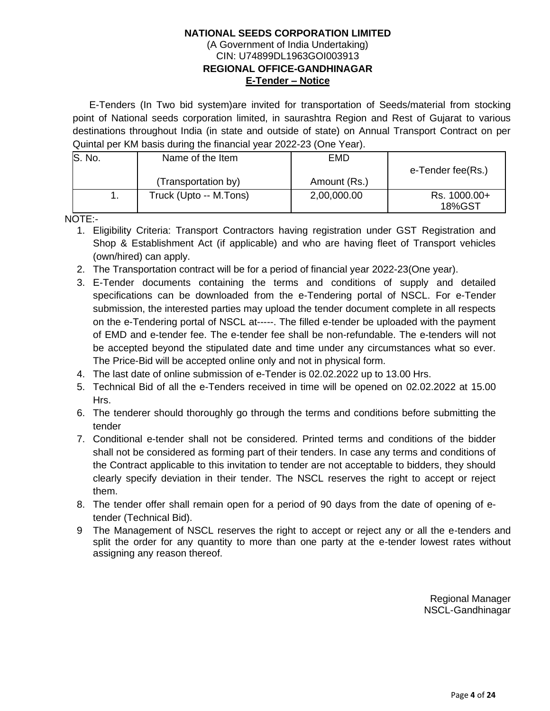#### **NATIONAL SEEDS CORPORATION LIMITED** (A Government of India Undertaking) CIN: U74899DL1963GOI003913 **REGIONAL OFFICE-GANDHINAGAR E-Tender – Notice**

 E-Tenders (In Two bid system)are invited for transportation of Seeds/material from stocking point of National seeds corporation limited, in saurashtra Region and Rest of Gujarat to various destinations throughout India (in state and outside of state) on Annual Transport Contract on per Quintal per KM basis during the financial year 2022-23 (One Year).

| S. No. | Name of the Item       | EMD          |                        |
|--------|------------------------|--------------|------------------------|
|        |                        |              | e-Tender fee(Rs.)      |
|        | (Transportation by)    | Amount (Rs.) |                        |
|        | Truck (Upto -- M.Tons) | 2,00,000.00  | Rs. 1000.00+<br>18%GST |

NOTE:-

- 1. Eligibility Criteria: Transport Contractors having registration under GST Registration and Shop & Establishment Act (if applicable) and who are having fleet of Transport vehicles (own/hired) can apply.
- 2. The Transportation contract will be for a period of financial year 2022-23(One year).
- 3. E-Tender documents containing the terms and conditions of supply and detailed specifications can be downloaded from the e-Tendering portal of NSCL. For e-Tender submission, the interested parties may upload the tender document complete in all respects on the e-Tendering portal of NSCL at-----. The filled e-tender be uploaded with the payment of EMD and e-tender fee. The e-tender fee shall be non-refundable. The e-tenders will not be accepted beyond the stipulated date and time under any circumstances what so ever. The Price-Bid will be accepted online only and not in physical form.
- 4. The last date of online submission of e-Tender is 02.02.2022 up to 13.00 Hrs.
- 5. Technical Bid of all the e-Tenders received in time will be opened on 02.02.2022 at 15.00 Hrs.
- 6. The tenderer should thoroughly go through the terms and conditions before submitting the tender
- 7. Conditional e-tender shall not be considered. Printed terms and conditions of the bidder shall not be considered as forming part of their tenders. In case any terms and conditions of the Contract applicable to this invitation to tender are not acceptable to bidders, they should clearly specify deviation in their tender. The NSCL reserves the right to accept or reject them.
- 8. The tender offer shall remain open for a period of 90 days from the date of opening of etender (Technical Bid).
- 9 The Management of NSCL reserves the right to accept or reject any or all the e-tenders and split the order for any quantity to more than one party at the e-tender lowest rates without assigning any reason thereof.

Regional Manager NSCL-Gandhinagar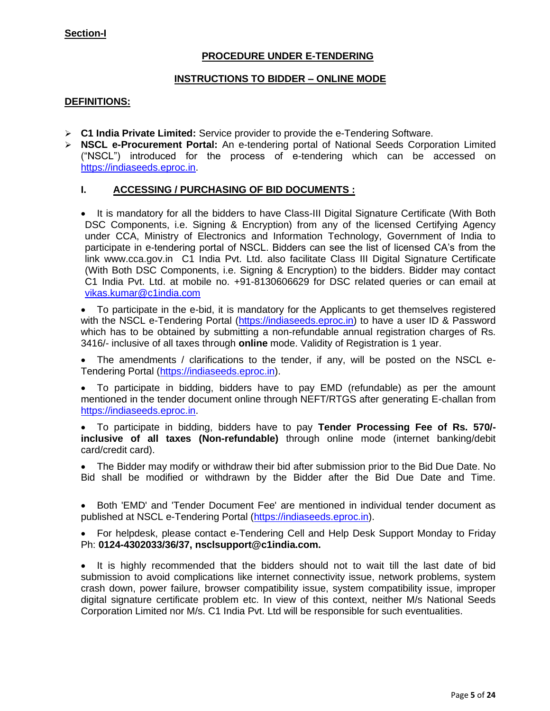#### **Section-I**

# **PROCEDURE UNDER E-TENDERING**

#### **INSTRUCTIONS TO BIDDER – ONLINE MODE**

#### **DEFINITIONS:**

- ➢ **C1 India Private Limited:** Service provider to provide the e-Tendering Software.
- ➢ **NSCL e-Procurement Portal:** An e-tendering portal of National Seeds Corporation Limited ("NSCL") introduced for the process of e-tendering which can be accessed on [https://indiaseeds.eproc.in.](https://indiaseeds.eproc.in/)

#### **I. ACCESSING / PURCHASING OF BID DOCUMENTS :**

• It is mandatory for all the bidders to have Class-III Digital Signature Certificate (With Both DSC Components, i.e. Signing & Encryption) from any of the licensed Certifying Agency under CCA, Ministry of Electronics and Information Technology, Government of India to participate in e-tendering portal of NSCL. Bidders can see the list of licensed CA's from the link www.cca.gov.in C1 India Pvt. Ltd. also facilitate Class III Digital Signature Certificate (With Both DSC Components, i.e. Signing & Encryption) to the bidders. Bidder may contact C1 India Pvt. Ltd. at mobile no. +91-8130606629 for DSC related queries or can email at vikas.kumar@c1india.com

• To participate in the e-bid, it is mandatory for the Applicants to get themselves registered with the NSCL e-Tendering Portal [\(https://indiaseeds.eproc.in\)](https://indiaseeds.eproc.in/) to have a user ID & Password which has to be obtained by submitting a non-refundable annual registration charges of Rs. 3416/- inclusive of all taxes through **online** mode. Validity of Registration is 1 year.

• The amendments / clarifications to the tender, if any, will be posted on the NSCL e-Tendering Portal [\(https://indiaseeds.eproc.in\)](https://indiaseeds.eproc.in/).

• To participate in bidding, bidders have to pay EMD (refundable) as per the amount mentioned in the tender document online through NEFT/RTGS after generating E-challan from [https://indiaseeds.eproc.in.](https://indiaseeds.eproc.in/)

• To participate in bidding, bidders have to pay **Tender Processing Fee of Rs. 570/ inclusive of all taxes (Non-refundable)** through online mode (internet banking/debit card/credit card).

• The Bidder may modify or withdraw their bid after submission prior to the Bid Due Date. No Bid shall be modified or withdrawn by the Bidder after the Bid Due Date and Time.

• Both 'EMD' and 'Tender Document Fee' are mentioned in individual tender document as published at NSCL e-Tendering Portal [\(https://indiaseeds.eproc.in\)](https://indiaseeds.eproc.in/).

• For helpdesk, please contact e-Tendering Cell and Help Desk Support Monday to Friday Ph: **0124-4302033/36/37, nsclsupport@c1india.com.**

• It is highly recommended that the bidders should not to wait till the last date of bid submission to avoid complications like internet connectivity issue, network problems, system crash down, power failure, browser compatibility issue, system compatibility issue, improper digital signature certificate problem etc. In view of this context, neither M/s National Seeds Corporation Limited nor M/s. C1 India Pvt. Ltd will be responsible for such eventualities.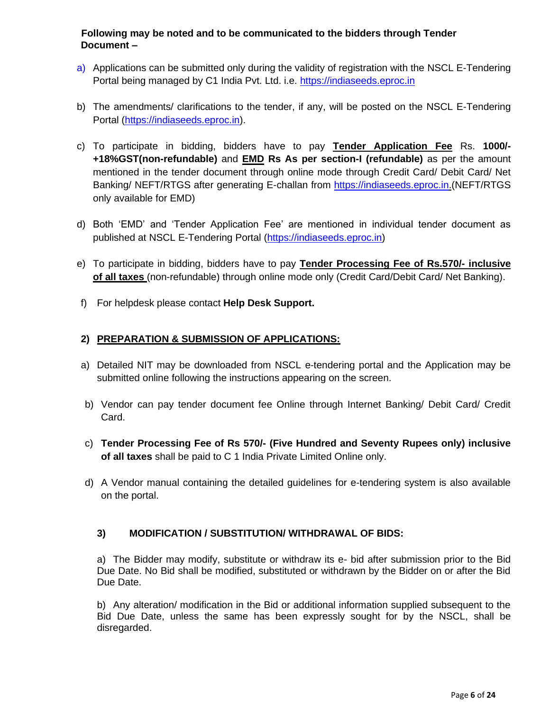# **Following may be noted and to be communicated to the bidders through Tender Document –**

- a) Applications can be submitted only during the validity of registration with the NSCL E-Tendering Portal being managed by C1 India Pvt. Ltd. i.e. [https://indiaseeds.eproc.in](https://indiaseeds.eproc.in/)
- b) The amendments/ clarifications to the tender, if any, will be posted on the NSCL E-Tendering Portal [\(https://indiaseeds.eproc.in\)](https://indiaseeds.eproc.in/).
- c) To participate in bidding, bidders have to pay **Tender Application Fee** Rs. **1000/- +18%GST(non-refundable)** and **EMD Rs As per section-I (refundable)** as per the amount mentioned in the tender document through online mode through Credit Card/ Debit Card/ Net Banking/ NEFT/RTGS after generating E-challan from [https://indiaseeds.eproc.in.\(](https://indiaseeds.eproc.in/)NEFT/RTGS only available for EMD)
- d) Both 'EMD' and 'Tender Application Fee' are mentioned in individual tender document as published at NSCL E-Tendering Portal [\(https://indiaseeds.eproc.in\)](https://indiaseeds.eproc.in/)
- e) To participate in bidding, bidders have to pay **Tender Processing Fee of Rs.570/- inclusive of all taxes** (non-refundable) through online mode only (Credit Card/Debit Card/ Net Banking).
- f) For helpdesk please contact **Help Desk Support.**

# **2) PREPARATION & SUBMISSION OF APPLICATIONS:**

- a) Detailed NIT may be downloaded from NSCL e-tendering portal and the Application may be submitted online following the instructions appearing on the screen.
- b) Vendor can pay tender document fee Online through Internet Banking/ Debit Card/ Credit Card.
- c) **Tender Processing Fee of Rs 570/- (Five Hundred and Seventy Rupees only) inclusive of all taxes** shall be paid to C 1 India Private Limited Online only.
- d) A Vendor manual containing the detailed guidelines for e-tendering system is also available on the portal.

# **3) MODIFICATION / SUBSTITUTION/ WITHDRAWAL OF BIDS:**

a) The Bidder may modify, substitute or withdraw its e- bid after submission prior to the Bid Due Date. No Bid shall be modified, substituted or withdrawn by the Bidder on or after the Bid Due Date.

b) Any alteration/ modification in the Bid or additional information supplied subsequent to the Bid Due Date, unless the same has been expressly sought for by the NSCL, shall be disregarded.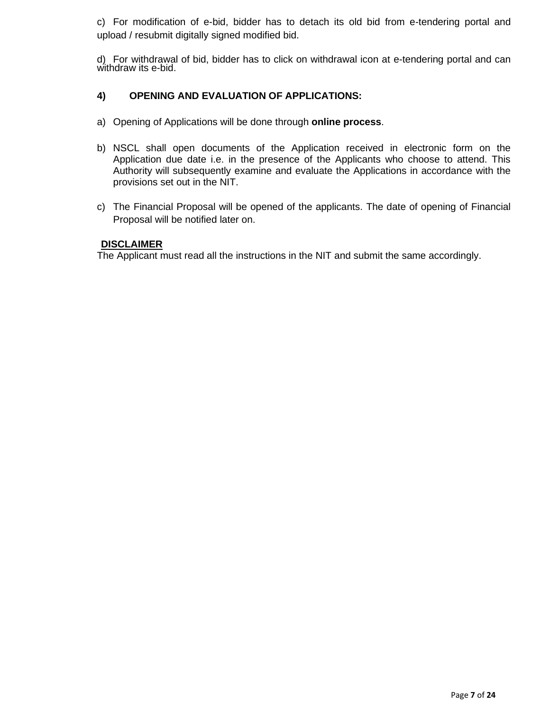c) For modification of e-bid, bidder has to detach its old bid from e-tendering portal and upload / resubmit digitally signed modified bid.

d) For withdrawal of bid, bidder has to click on withdrawal icon at e-tendering portal and can withdraw its e-bid.

# **4) OPENING AND EVALUATION OF APPLICATIONS:**

- a) Opening of Applications will be done through **online process**.
- b) NSCL shall open documents of the Application received in electronic form on the Application due date i.e. in the presence of the Applicants who choose to attend. This Authority will subsequently examine and evaluate the Applications in accordance with the provisions set out in the NIT.
- c) The Financial Proposal will be opened of the applicants. The date of opening of Financial Proposal will be notified later on.

#### **DISCLAIMER**

The Applicant must read all the instructions in the NIT and submit the same accordingly.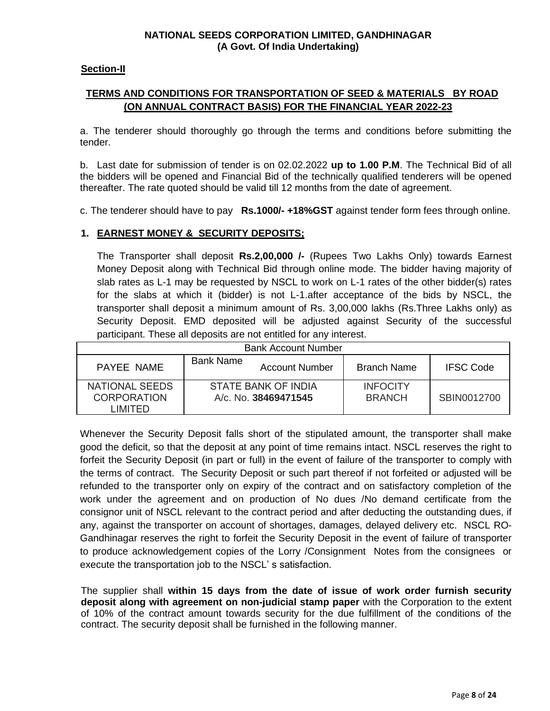#### **NATIONAL SEEDS CORPORATION LIMITED, GANDHINAGAR (A Govt. Of India Undertaking)**

#### **Section-II**

# **TERMS AND CONDITIONS FOR TRANSPORTATION OF SEED & MATERIALS BY ROAD (ON ANNUAL CONTRACT BASIS) FOR THE FINANCIAL YEAR 2022-23**

a. The tenderer should thoroughly go through the terms and conditions before submitting the tender.

b. Last date for submission of tender is on 02.02.2022 **up to 1.00 P.M**. The Technical Bid of all the bidders will be opened and Financial Bid of the technically qualified tenderers will be opened thereafter. The rate quoted should be valid till 12 months from the date of agreement.

c. The tenderer should have to pay **Rs.1000/- +18%GST** against tender form fees through online.

# **1. EARNEST MONEY & SECURITY DEPOSITS;**

The Transporter shall deposit **Rs.2,00,000 /-** (Rupees Two Lakhs Only) towards Earnest Money Deposit along with Technical Bid through online mode. The bidder having majority of slab rates as L-1 may be requested by NSCL to work on L-1 rates of the other bidder(s) rates for the slabs at which it (bidder) is not L-1.after acceptance of the bids by NSCL, the transporter shall deposit a minimum amount of Rs. 3,00,000 lakhs (Rs.Three Lakhs only) as Security Deposit. EMD deposited will be adjusted against Security of the successful participant. These all deposits are not entitled for any interest.

|                                                   | <b>Bank Account Number</b>                     |                                  |                  |
|---------------------------------------------------|------------------------------------------------|----------------------------------|------------------|
| PAYEE NAME                                        | <b>Bank Name</b><br><b>Account Number</b>      | <b>Branch Name</b>               | <b>IFSC Code</b> |
| NATIONAL SEEDS<br><b>CORPORATION</b><br>I IMITED. | STATE BANK OF INDIA<br>$A/c$ , No. 38469471545 | <b>INFOCITY</b><br><b>BRANCH</b> | SBIN0012700      |

Whenever the Security Deposit falls short of the stipulated amount, the transporter shall make good the deficit, so that the deposit at any point of time remains intact. NSCL reserves the right to forfeit the Security Deposit (in part or full) in the event of failure of the transporter to comply with the terms of contract. The Security Deposit or such part thereof if not forfeited or adjusted will be refunded to the transporter only on expiry of the contract and on satisfactory completion of the work under the agreement and on production of No dues /No demand certificate from the consignor unit of NSCL relevant to the contract period and after deducting the outstanding dues, if any, against the transporter on account of shortages, damages, delayed delivery etc. NSCL RO-Gandhinagar reserves the right to forfeit the Security Deposit in the event of failure of transporter to produce acknowledgement copies of the Lorry /Consignment Notes from the consignees or execute the transportation job to the NSCL' s satisfaction.

The supplier shall **within 15 days from the date of issue of work order furnish security deposit along with agreement on non-judicial stamp paper** with the Corporation to the extent of 10% of the contract amount towards security for the due fulfillment of the conditions of the contract. The security deposit shall be furnished in the following manner.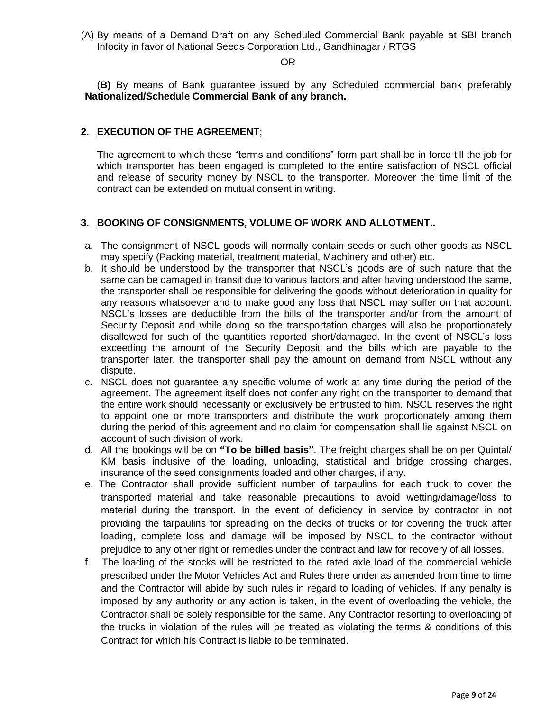(A) By means of a Demand Draft on any Scheduled Commercial Bank payable at SBI branch Infocity in favor of National Seeds Corporation Ltd., Gandhinagar / RTGS

#### OR

(**B)** By means of Bank guarantee issued by any Scheduled commercial bank preferably **Nationalized/Schedule Commercial Bank of any branch.**

#### **2. EXECUTION OF THE AGREEMENT**;

The agreement to which these "terms and conditions" form part shall be in force till the job for which transporter has been engaged is completed to the entire satisfaction of NSCL official and release of security money by NSCL to the transporter. Moreover the time limit of the contract can be extended on mutual consent in writing.

#### **3. BOOKING OF CONSIGNMENTS, VOLUME OF WORK AND ALLOTMENT..**

- a. The consignment of NSCL goods will normally contain seeds or such other goods as NSCL may specify (Packing material, treatment material, Machinery and other) etc.
- b. It should be understood by the transporter that NSCL's goods are of such nature that the same can be damaged in transit due to various factors and after having understood the same, the transporter shall be responsible for delivering the goods without deterioration in quality for any reasons whatsoever and to make good any loss that NSCL may suffer on that account. NSCL's losses are deductible from the bills of the transporter and/or from the amount of Security Deposit and while doing so the transportation charges will also be proportionately disallowed for such of the quantities reported short/damaged. In the event of NSCL's loss exceeding the amount of the Security Deposit and the bills which are payable to the transporter later, the transporter shall pay the amount on demand from NSCL without any dispute.
- c. NSCL does not guarantee any specific volume of work at any time during the period of the agreement. The agreement itself does not confer any right on the transporter to demand that the entire work should necessarily or exclusively be entrusted to him. NSCL reserves the right to appoint one or more transporters and distribute the work proportionately among them during the period of this agreement and no claim for compensation shall lie against NSCL on account of such division of work.
- d. All the bookings will be on **"To be billed basis"**. The freight charges shall be on per Quintal/ KM basis inclusive of the loading, unloading, statistical and bridge crossing charges, insurance of the seed consignments loaded and other charges, if any.
- e. The Contractor shall provide sufficient number of tarpaulins for each truck to cover the transported material and take reasonable precautions to avoid wetting/damage/loss to material during the transport. In the event of deficiency in service by contractor in not providing the tarpaulins for spreading on the decks of trucks or for covering the truck after loading, complete loss and damage will be imposed by NSCL to the contractor without prejudice to any other right or remedies under the contract and law for recovery of all losses.
- f. The loading of the stocks will be restricted to the rated axle load of the commercial vehicle prescribed under the Motor Vehicles Act and Rules there under as amended from time to time and the Contractor will abide by such rules in regard to loading of vehicles. If any penalty is imposed by any authority or any action is taken, in the event of overloading the vehicle, the Contractor shall be solely responsible for the same. Any Contractor resorting to overloading of the trucks in violation of the rules will be treated as violating the terms & conditions of this Contract for which his Contract is liable to be terminated.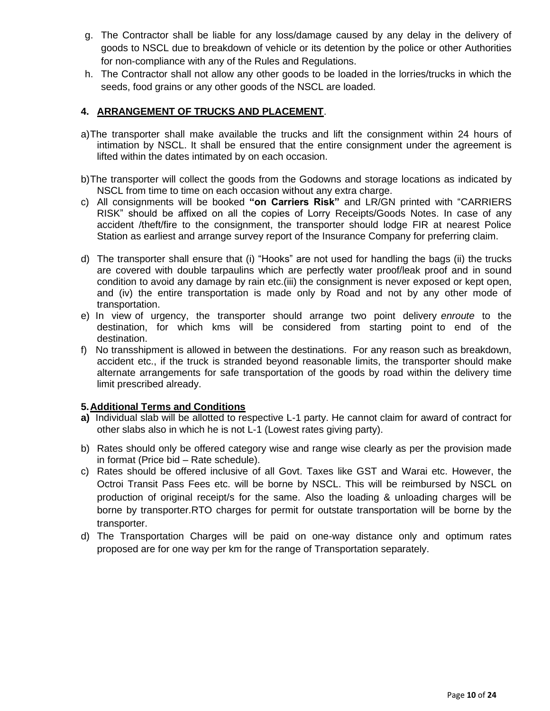- g. The Contractor shall be liable for any loss/damage caused by any delay in the delivery of goods to NSCL due to breakdown of vehicle or its detention by the police or other Authorities for non-compliance with any of the Rules and Regulations.
- h. The Contractor shall not allow any other goods to be loaded in the lorries/trucks in which the seeds, food grains or any other goods of the NSCL are loaded.

# **4. ARRANGEMENT OF TRUCKS AND PLACEMENT**.

- a)The transporter shall make available the trucks and lift the consignment within 24 hours of intimation by NSCL. It shall be ensured that the entire consignment under the agreement is lifted within the dates intimated by on each occasion.
- b)The transporter will collect the goods from the Godowns and storage locations as indicated by NSCL from time to time on each occasion without any extra charge.
- c) All consignments will be booked **"on Carriers Risk"** and LR/GN printed with "CARRIERS RISK" should be affixed on all the copies of Lorry Receipts/Goods Notes. In case of any accident /theft/fire to the consignment, the transporter should lodge FIR at nearest Police Station as earliest and arrange survey report of the Insurance Company for preferring claim.
- d) The transporter shall ensure that (i) "Hooks" are not used for handling the bags (ii) the trucks are covered with double tarpaulins which are perfectly water proof/leak proof and in sound condition to avoid any damage by rain etc.(iii) the consignment is never exposed or kept open, and (iv) the entire transportation is made only by Road and not by any other mode of transportation.
- e) In view of urgency, the transporter should arrange two point delivery *enroute* to the destination, for which kms will be considered from starting point to end of the destination.
- f) No transshipment is allowed in between the destinations. For any reason such as breakdown, accident etc., if the truck is stranded beyond reasonable limits, the transporter should make alternate arrangements for safe transportation of the goods by road within the delivery time limit prescribed already.

# **5.Additional Terms and Conditions**

- **a)** Individual slab will be allotted to respective L-1 party. He cannot claim for award of contract for other slabs also in which he is not L-1 (Lowest rates giving party).
- b) Rates should only be offered category wise and range wise clearly as per the provision made in format (Price bid – Rate schedule).
- c) Rates should be offered inclusive of all Govt. Taxes like GST and Warai etc. However, the Octroi Transit Pass Fees etc. will be borne by NSCL. This will be reimbursed by NSCL on production of original receipt/s for the same. Also the loading & unloading charges will be borne by transporter.RTO charges for permit for outstate transportation will be borne by the transporter.
- d) The Transportation Charges will be paid on one-way distance only and optimum rates proposed are for one way per km for the range of Transportation separately.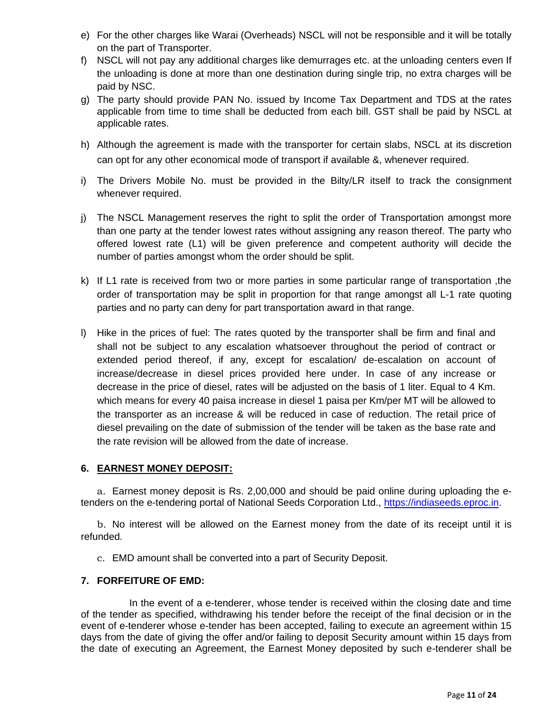- e) For the other charges like Warai (Overheads) NSCL will not be responsible and it will be totally on the part of Transporter.
- f) NSCL will not pay any additional charges like demurrages etc. at the unloading centers even If the unloading is done at more than one destination during single trip, no extra charges will be paid by NSC.
- g) The party should provide PAN No. issued by Income Tax Department and TDS at the rates applicable from time to time shall be deducted from each bill. GST shall be paid by NSCL at applicable rates.
- h) Although the agreement is made with the transporter for certain slabs, NSCL at its discretion can opt for any other economical mode of transport if available &, whenever required.
- i) The Drivers Mobile No. must be provided in the Bilty/LR itself to track the consignment whenever required.
- j) The NSCL Management reserves the right to split the order of Transportation amongst more than one party at the tender lowest rates without assigning any reason thereof. The party who offered lowest rate (L1) will be given preference and competent authority will decide the number of parties amongst whom the order should be split.
- k) If L1 rate is received from two or more parties in some particular range of transportation ,the order of transportation may be split in proportion for that range amongst all L-1 rate quoting parties and no party can deny for part transportation award in that range.
- l) Hike in the prices of fuel: The rates quoted by the transporter shall be firm and final and shall not be subject to any escalation whatsoever throughout the period of contract or extended period thereof, if any, except for escalation/ de-escalation on account of increase/decrease in diesel prices provided here under. In case of any increase or decrease in the price of diesel, rates will be adjusted on the basis of 1 liter. Equal to 4 Km. which means for every 40 paisa increase in diesel 1 paisa per Km/per MT will be allowed to the transporter as an increase & will be reduced in case of reduction. The retail price of diesel prevailing on the date of submission of the tender will be taken as the base rate and the rate revision will be allowed from the date of increase.

# **6. EARNEST MONEY DEPOSIT:**

a. Earnest money deposit is Rs. 2,00,000 and should be paid online during uploading the etenders on the e-tendering portal of National Seeds Corporation Ltd., [https://indiaseeds.eproc.in.](https://indiaseeds.eproc.in/)

b. No interest will be allowed on the Earnest money from the date of its receipt until it is refunded.

c. EMD amount shall be converted into a part of Security Deposit.

# **7. FORFEITURE OF EMD:**

In the event of a e-tenderer, whose tender is received within the closing date and time of the tender as specified, withdrawing his tender before the receipt of the final decision or in the event of e-tenderer whose e-tender has been accepted, failing to execute an agreement within 15 days from the date of giving the offer and/or failing to deposit Security amount within 15 days from the date of executing an Agreement, the Earnest Money deposited by such e-tenderer shall be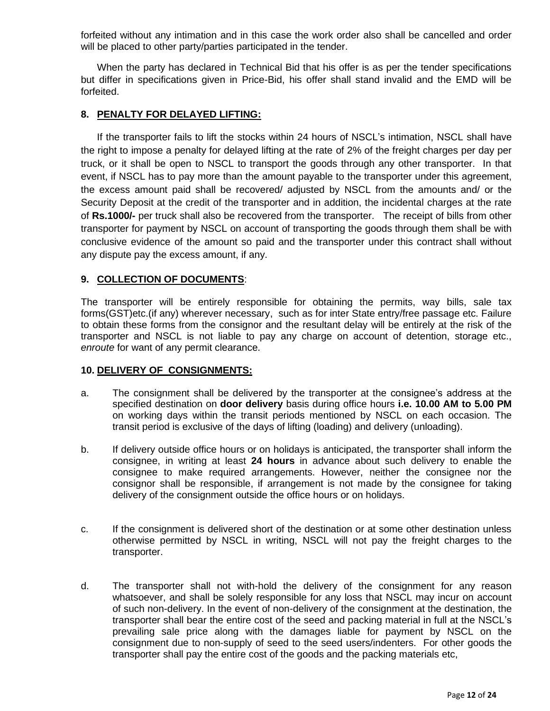forfeited without any intimation and in this case the work order also shall be cancelled and order will be placed to other party/parties participated in the tender.

When the party has declared in Technical Bid that his offer is as per the tender specifications but differ in specifications given in Price-Bid, his offer shall stand invalid and the EMD will be forfeited.

#### **8. PENALTY FOR DELAYED LIFTING:**

If the transporter fails to lift the stocks within 24 hours of NSCL's intimation, NSCL shall have the right to impose a penalty for delayed lifting at the rate of 2% of the freight charges per day per truck, or it shall be open to NSCL to transport the goods through any other transporter. In that event, if NSCL has to pay more than the amount payable to the transporter under this agreement, the excess amount paid shall be recovered/ adjusted by NSCL from the amounts and/ or the Security Deposit at the credit of the transporter and in addition, the incidental charges at the rate of **Rs.1000/-** per truck shall also be recovered from the transporter. The receipt of bills from other transporter for payment by NSCL on account of transporting the goods through them shall be with conclusive evidence of the amount so paid and the transporter under this contract shall without any dispute pay the excess amount, if any.

#### **9. COLLECTION OF DOCUMENTS**:

The transporter will be entirely responsible for obtaining the permits, way bills, sale tax forms(GST)etc.(if any) wherever necessary, such as for inter State entry/free passage etc. Failure to obtain these forms from the consignor and the resultant delay will be entirely at the risk of the transporter and NSCL is not liable to pay any charge on account of detention, storage etc., *enroute* for want of any permit clearance.

#### **10. DELIVERY OF CONSIGNMENTS:**

- a. The consignment shall be delivered by the transporter at the consignee's address at the specified destination on **door delivery** basis during office hours **i.e. 10.00 AM to 5.00 PM** on working days within the transit periods mentioned by NSCL on each occasion. The transit period is exclusive of the days of lifting (loading) and delivery (unloading).
- b. If delivery outside office hours or on holidays is anticipated, the transporter shall inform the consignee, in writing at least **24 hours** in advance about such delivery to enable the consignee to make required arrangements. However, neither the consignee nor the consignor shall be responsible, if arrangement is not made by the consignee for taking delivery of the consignment outside the office hours or on holidays.
- c. If the consignment is delivered short of the destination or at some other destination unless otherwise permitted by NSCL in writing, NSCL will not pay the freight charges to the transporter.
- d. The transporter shall not with-hold the delivery of the consignment for any reason whatsoever, and shall be solely responsible for any loss that NSCL may incur on account of such non-delivery. In the event of non-delivery of the consignment at the destination, the transporter shall bear the entire cost of the seed and packing material in full at the NSCL's prevailing sale price along with the damages liable for payment by NSCL on the consignment due to non-supply of seed to the seed users/indenters. For other goods the transporter shall pay the entire cost of the goods and the packing materials etc,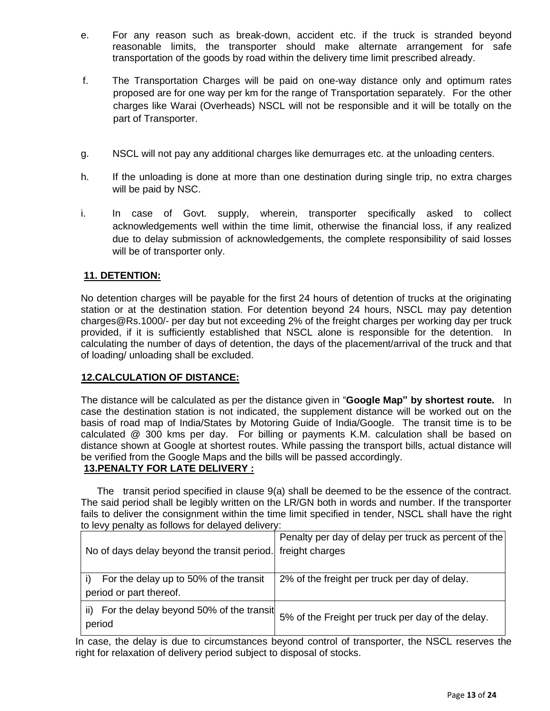- e. For any reason such as break-down, accident etc. if the truck is stranded beyond reasonable limits, the transporter should make alternate arrangement for safe transportation of the goods by road within the delivery time limit prescribed already.
- f. The Transportation Charges will be paid on one-way distance only and optimum rates proposed are for one way per km for the range of Transportation separately. For the other charges like Warai (Overheads) NSCL will not be responsible and it will be totally on the part of Transporter.
- g. NSCL will not pay any additional charges like demurrages etc. at the unloading centers.
- h. If the unloading is done at more than one destination during single trip, no extra charges will be paid by NSC.
- i. In case of Govt. supply, wherein, transporter specifically asked to collect acknowledgements well within the time limit, otherwise the financial loss, if any realized due to delay submission of acknowledgements, the complete responsibility of said losses will be of transporter only.

# **11. DETENTION:**

No detention charges will be payable for the first 24 hours of detention of trucks at the originating station or at the destination station. For detention beyond 24 hours, NSCL may pay detention charges@Rs.1000/- per day but not exceeding 2% of the freight charges per working day per truck provided, if it is sufficiently established that NSCL alone is responsible for the detention. In calculating the number of days of detention, the days of the placement/arrival of the truck and that of loading/ unloading shall be excluded.

# **12.CALCULATION OF DISTANCE:**

The distance will be calculated as per the distance given in "**Google Map" by shortest route.** In case the destination station is not indicated, the supplement distance will be worked out on the basis of road map of India/States by Motoring Guide of India/Google. The transit time is to be calculated @ 300 kms per day. For billing or payments K.M. calculation shall be based on distance shown at Google at shortest routes. While passing the transport bills, actual distance will be verified from the Google Maps and the bills will be passed accordingly.

# **13.PENALTY FOR LATE DELIVERY :**

The transit period specified in clause 9(a) shall be deemed to be the essence of the contract. The said period shall be legibly written on the LR/GN both in words and number. If the transporter fails to deliver the consignment within the time limit specified in tender, NSCL shall have the right to levy penalty as follows for delayed delivery:

| No of days delay beyond the transit period. Freight charges             | Penalty per day of delay per truck as percent of the |
|-------------------------------------------------------------------------|------------------------------------------------------|
| For the delay up to 50% of the transit<br>i)<br>period or part thereof. | 2% of the freight per truck per day of delay.        |
| For the delay beyond 50% of the transit<br>ii).<br>period               | 5% of the Freight per truck per day of the delay.    |

In case, the delay is due to circumstances beyond control of transporter, the NSCL reserves the right for relaxation of delivery period subject to disposal of stocks.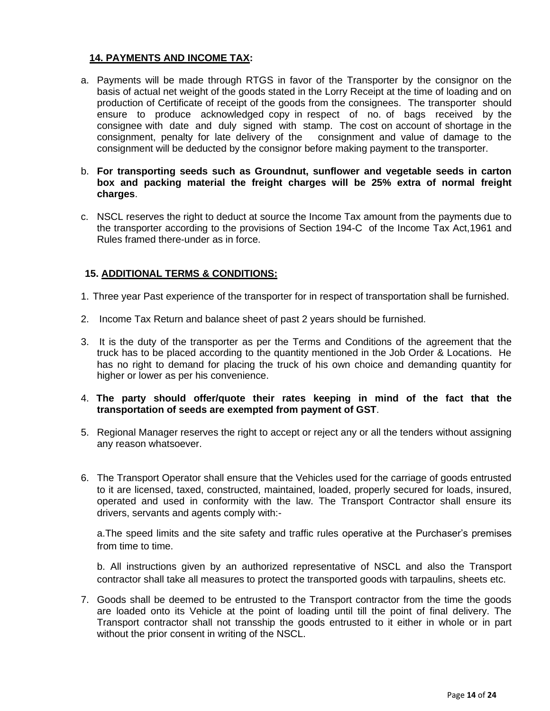#### **14. PAYMENTS AND INCOME TAX:**

- a. Payments will be made through RTGS in favor of the Transporter by the consignor on the basis of actual net weight of the goods stated in the Lorry Receipt at the time of loading and on production of Certificate of receipt of the goods from the consignees. The transporter should ensure to produce acknowledged copy in respect of no. of bags received by the consignee with date and duly signed with stamp. The cost on account of shortage in the consignment, penalty for late delivery of the consignment and value of damage to the consignment will be deducted by the consignor before making payment to the transporter.
- b. **For transporting seeds such as Groundnut, sunflower and vegetable seeds in carton box and packing material the freight charges will be 25% extra of normal freight charges**.
- c. NSCL reserves the right to deduct at source the Income Tax amount from the payments due to the transporter according to the provisions of Section 194-C of the Income Tax Act,1961 and Rules framed there-under as in force.

# **15. ADDITIONAL TERMS & CONDITIONS:**

- 1. Three year Past experience of the transporter for in respect of transportation shall be furnished.
- 2. Income Tax Return and balance sheet of past 2 years should be furnished.
- 3. It is the duty of the transporter as per the Terms and Conditions of the agreement that the truck has to be placed according to the quantity mentioned in the Job Order & Locations. He has no right to demand for placing the truck of his own choice and demanding quantity for higher or lower as per his convenience.
- 4. **The party should offer/quote their rates keeping in mind of the fact that the transportation of seeds are exempted from payment of GST**.
- 5. Regional Manager reserves the right to accept or reject any or all the tenders without assigning any reason whatsoever.
- 6. The Transport Operator shall ensure that the Vehicles used for the carriage of goods entrusted to it are licensed, taxed, constructed, maintained, loaded, properly secured for loads, insured, operated and used in conformity with the law. The Transport Contractor shall ensure its drivers, servants and agents comply with:-

a.The speed limits and the site safety and traffic rules operative at the Purchaser's premises from time to time.

b. All instructions given by an authorized representative of NSCL and also the Transport contractor shall take all measures to protect the transported goods with tarpaulins, sheets etc.

7. Goods shall be deemed to be entrusted to the Transport contractor from the time the goods are loaded onto its Vehicle at the point of loading until till the point of final delivery. The Transport contractor shall not transship the goods entrusted to it either in whole or in part without the prior consent in writing of the NSCL.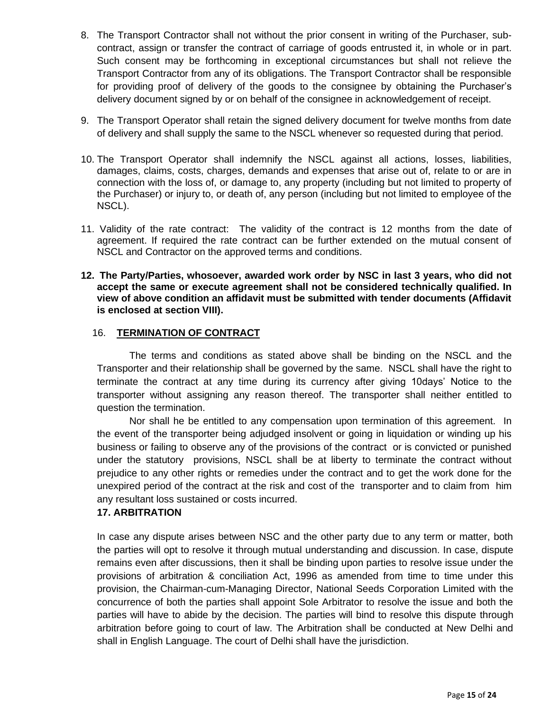- 8. The Transport Contractor shall not without the prior consent in writing of the Purchaser, subcontract, assign or transfer the contract of carriage of goods entrusted it, in whole or in part. Such consent may be forthcoming in exceptional circumstances but shall not relieve the Transport Contractor from any of its obligations. The Transport Contractor shall be responsible for providing proof of delivery of the goods to the consignee by obtaining the Purchaser's delivery document signed by or on behalf of the consignee in acknowledgement of receipt.
- 9. The Transport Operator shall retain the signed delivery document for twelve months from date of delivery and shall supply the same to the NSCL whenever so requested during that period.
- 10. The Transport Operator shall indemnify the NSCL against all actions, losses, liabilities, damages, claims, costs, charges, demands and expenses that arise out of, relate to or are in connection with the loss of, or damage to, any property (including but not limited to property of the Purchaser) or injury to, or death of, any person (including but not limited to employee of the NSCL).
- 11. Validity of the rate contract: The validity of the contract is 12 months from the date of agreement. If required the rate contract can be further extended on the mutual consent of NSCL and Contractor on the approved terms and conditions.
- **12. The Party/Parties, whosoever, awarded work order by NSC in last 3 years, who did not accept the same or execute agreement shall not be considered technically qualified. In view of above condition an affidavit must be submitted with tender documents (Affidavit is enclosed at section VIII).**

# 16. **TERMINATION OF CONTRACT**

The terms and conditions as stated above shall be binding on the NSCL and the Transporter and their relationship shall be governed by the same. NSCL shall have the right to terminate the contract at any time during its currency after giving 10days' Notice to the transporter without assigning any reason thereof. The transporter shall neither entitled to question the termination.

Nor shall he be entitled to any compensation upon termination of this agreement. In the event of the transporter being adjudged insolvent or going in liquidation or winding up his business or failing to observe any of the provisions of the contract or is convicted or punished under the statutory provisions, NSCL shall be at liberty to terminate the contract without prejudice to any other rights or remedies under the contract and to get the work done for the unexpired period of the contract at the risk and cost of the transporter and to claim from him any resultant loss sustained or costs incurred.

#### **17. ARBITRATION**

In case any dispute arises between NSC and the other party due to any term or matter, both the parties will opt to resolve it through mutual understanding and discussion. In case, dispute remains even after discussions, then it shall be binding upon parties to resolve issue under the provisions of arbitration & conciliation Act, 1996 as amended from time to time under this provision, the Chairman-cum-Managing Director, National Seeds Corporation Limited with the concurrence of both the parties shall appoint Sole Arbitrator to resolve the issue and both the parties will have to abide by the decision. The parties will bind to resolve this dispute through arbitration before going to court of law. The Arbitration shall be conducted at New Delhi and shall in English Language. The court of Delhi shall have the jurisdiction.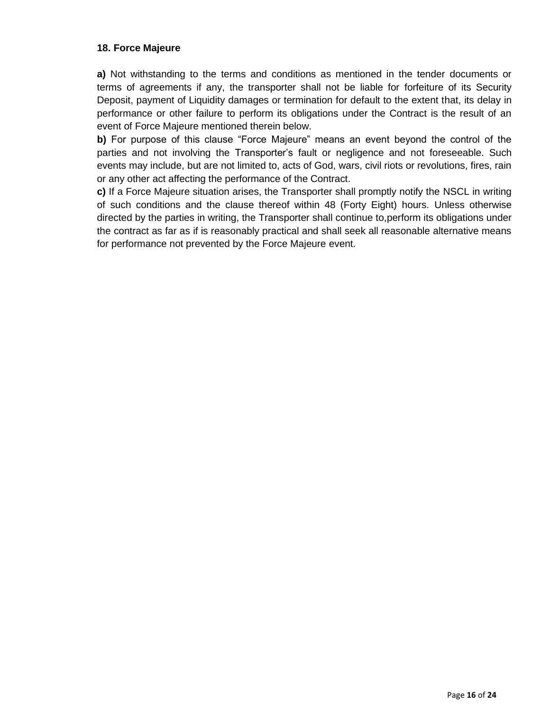# **18. Force Majeure**

**a)** Not withstanding to the terms and conditions as mentioned in the tender documents or terms of agreements if any, the transporter shall not be liable for forfeiture of its Security Deposit, payment of Liquidity damages or termination for default to the extent that, its delay in performance or other failure to perform its obligations under the Contract is the result of an event of Force Majeure mentioned therein below.

**b)** For purpose of this clause "Force Majeure" means an event beyond the control of the parties and not involving the Transporter's fault or negligence and not foreseeable. Such events may include, but are not limited to, acts of God, wars, civil riots or revolutions, fires, rain or any other act affecting the performance of the Contract.

**c)** If a Force Majeure situation arises, the Transporter shall promptly notify the NSCL in writing of such conditions and the clause thereof within 48 (Forty Eight) hours. Unless otherwise directed by the parties in writing, the Transporter shall continue to,perform its obligations under the contract as far as if is reasonably practical and shall seek all reasonable alternative means for performance not prevented by the Force Majeure event.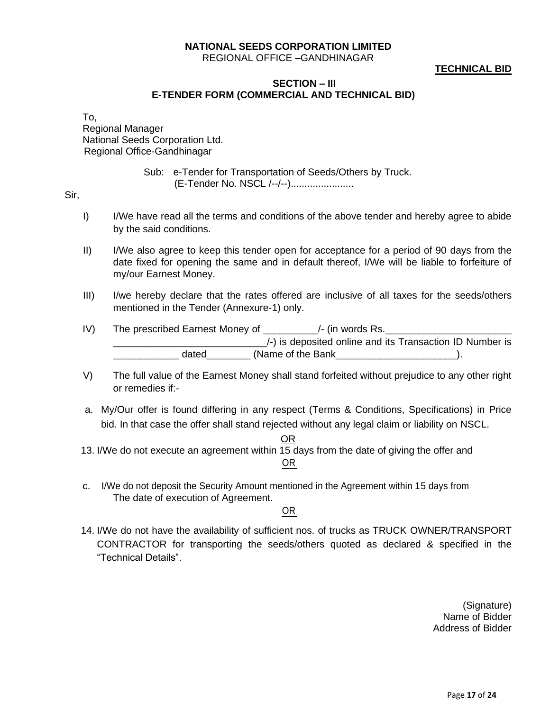# **NATIONAL SEEDS CORPORATION LIMITED**

REGIONAL OFFICE –GANDHINAGAR

# **TECHNICAL BID**

#### **SECTION – III E-TENDER FORM (COMMERCIAL AND TECHNICAL BID)**

To,

Regional Manager National Seeds Corporation Ltd. Regional Office-Gandhinagar

> Sub: e-Tender for Transportation of Seeds/Others by Truck. (E-Tender No. NSCL /--/--).......................

Sir,

- I) I/We have read all the terms and conditions of the above tender and hereby agree to abide by the said conditions.
- II) I/We also agree to keep this tender open for acceptance for a period of 90 days from the date fixed for opening the same and in default thereof, I/We will be liable to forfeiture of my/our Earnest Money.
- III) I/we hereby declare that the rates offered are inclusive of all taxes for the seeds/others mentioned in the Tender (Annexure-1) only.
- IV) The prescribed Earnest Money of \_\_\_\_\_\_\_\_\_\_/- (in words Rs.  $\angle$ -) is deposited online and its Transaction ID Number is dated (Name of the Bank ).
- V) The full value of the Earnest Money shall stand forfeited without prejudice to any other right or remedies if:-
- a. My/Our offer is found differing in any respect (Terms & Conditions, Specifications) in Price bid. In that case the offer shall stand rejected without any legal claim or liability on NSCL.
	- <u>OR</u>
- 13. I/We do not execute an agreement within 15 days from the date of giving the offer and OR
- c. I/We do not deposit the Security Amount mentioned in the Agreement within 15 days from The date of execution of Agreement.

OR

14. I/We do not have the availability of sufficient nos. of trucks as TRUCK OWNER/TRANSPORT CONTRACTOR for transporting the seeds/others quoted as declared & specified in the "Technical Details".

> (Signature) Name of Bidder Address of Bidder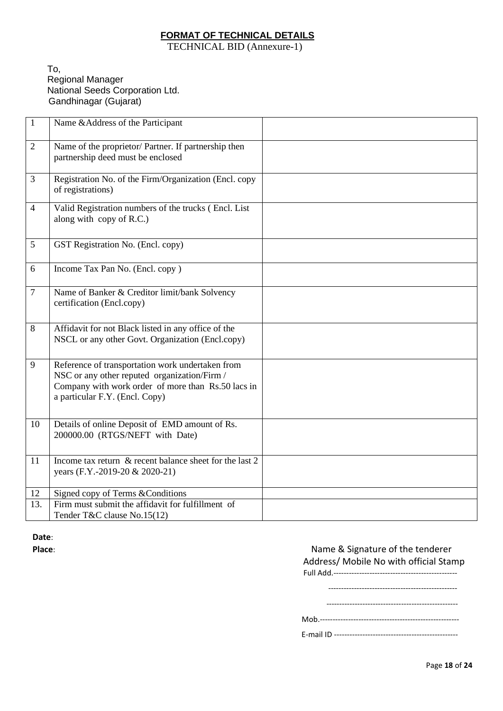# **FORMAT OF TECHNICAL DETAILS**

TECHNICAL BID (Annexure-1)

To, Regional Manager National Seeds Corporation Ltd. Gandhinagar (Gujarat)

| $\mathbf{1}$   | Name & Address of the Participant                                                                  |  |
|----------------|----------------------------------------------------------------------------------------------------|--|
| $\overline{2}$ | Name of the proprietor/ Partner. If partnership then                                               |  |
|                | partnership deed must be enclosed                                                                  |  |
| 3              | Registration No. of the Firm/Organization (Encl. copy                                              |  |
|                | of registrations)                                                                                  |  |
| $\overline{4}$ | Valid Registration numbers of the trucks (Encl. List<br>along with copy of R.C.)                   |  |
|                |                                                                                                    |  |
| 5              | GST Registration No. (Encl. copy)                                                                  |  |
| 6              | Income Tax Pan No. (Encl. copy)                                                                    |  |
|                |                                                                                                    |  |
| $\overline{7}$ | Name of Banker & Creditor limit/bank Solvency                                                      |  |
|                | certification (Encl.copy)                                                                          |  |
| 8              | Affidavit for not Black listed in any office of the                                                |  |
|                | NSCL or any other Govt. Organization (Encl.copy)                                                   |  |
|                |                                                                                                    |  |
| 9              | Reference of transportation work undertaken from                                                   |  |
|                | NSC or any other reputed organization/Firm /<br>Company with work order of more than Rs.50 lacs in |  |
|                | a particular F.Y. (Encl. Copy)                                                                     |  |
|                |                                                                                                    |  |
| 10             | Details of online Deposit of EMD amount of Rs.                                                     |  |
|                | 200000.00 (RTGS/NEFT with Date)                                                                    |  |
|                |                                                                                                    |  |
| 11             | Income tax return & recent balance sheet for the last 2<br>years (F.Y.-2019-20 & 2020-21)          |  |
|                |                                                                                                    |  |
| 12             | Signed copy of Terms & Conditions                                                                  |  |
| 13.            | Firm must submit the affidavit for fulfillment of                                                  |  |
|                | Tender T&C clause No.15(12)                                                                        |  |

**Date**:

# **Place**: **Place**: **Place Place**: **Name & Signature of the tenderer**  Address/ Mobile No with official Stamp Full Add.------------------------------------------------ -------------------------------------------------- --------------------------------------------------- Mob.------------------------------------------------------

E-mail ID ------------------------------------------------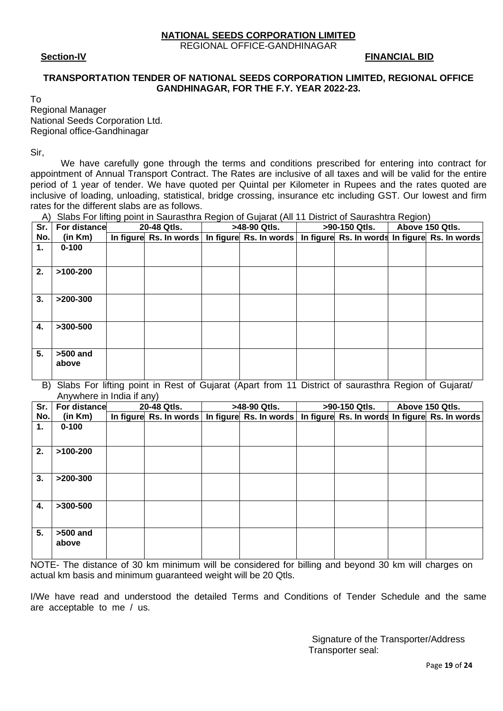#### **NATIONAL SEEDS CORPORATION LIMITED**

REGIONAL OFFICE-GANDHINAGAR

 **Section-IV FINANCIAL BID** 

# **TRANSPORTATION TENDER OF NATIONAL SEEDS CORPORATION LIMITED, REGIONAL OFFICE GANDHINAGAR, FOR THE F.Y. YEAR 2022-23.**

|  | w<br>I<br>×<br>۰. |  |
|--|-------------------|--|
|  |                   |  |

Regional Manager National Seeds Corporation Ltd. Regional office-Gandhinagar

Sir,

We have carefully gone through the terms and conditions prescribed for entering into contract for appointment of Annual Transport Contract. The Rates are inclusive of all taxes and will be valid for the entire period of 1 year of tender. We have quoted per Quintal per Kilometer in Rupees and the rates quoted are inclusive of loading, unloading, statistical, bridge crossing, insurance etc including GST. Our lowest and firm rates for the different slabs are as follows.

A) Slabs For lifting point in Saurasthra Region of Gujarat (All 11 District of Saurashtra Region)

| Sr. | For distance        | 20-48 Qtls.            | >48-90 Qtls. | >90-150 Qtls. | Above 150 Qtls.                                                        |
|-----|---------------------|------------------------|--------------|---------------|------------------------------------------------------------------------|
| No. | (in Km)             | In figure Rs. In words |              |               | In figure Rs. In words   In figure Rs. In words In figure Rs. In words |
| 1.  | $0 - 100$           |                        |              |               |                                                                        |
|     |                     |                        |              |               |                                                                        |
| 2.  | $>100-200$          |                        |              |               |                                                                        |
|     |                     |                        |              |               |                                                                        |
| 3.  | $>200-300$          |                        |              |               |                                                                        |
|     |                     |                        |              |               |                                                                        |
| 4.  | $>300-500$          |                        |              |               |                                                                        |
|     |                     |                        |              |               |                                                                        |
| 5.  | $>500$ and<br>above |                        |              |               |                                                                        |
|     |                     |                        |              |               |                                                                        |

B) Slabs For lifting point in Rest of Gujarat (Apart from 11 District of saurasthra Region of Gujarat/ Anywhere in India if any)

| Sr. | For distance        | 20-48 Qtls. | >48-90 Qtls.                                                                                    | >90-150 Qtls. | Above 150 Qtls. |
|-----|---------------------|-------------|-------------------------------------------------------------------------------------------------|---------------|-----------------|
| No. | (in Km)             |             | In figure Rs. In words   In figure Rs. In words   In figure Rs. In words In figure Rs. In words |               |                 |
| 1.  | $0 - 100$           |             |                                                                                                 |               |                 |
|     |                     |             |                                                                                                 |               |                 |
| 2.  | $>100-200$          |             |                                                                                                 |               |                 |
|     |                     |             |                                                                                                 |               |                 |
| 3.  | $>200-300$          |             |                                                                                                 |               |                 |
|     |                     |             |                                                                                                 |               |                 |
| 4.  | $>300-500$          |             |                                                                                                 |               |                 |
|     |                     |             |                                                                                                 |               |                 |
| 5.  | $>500$ and<br>above |             |                                                                                                 |               |                 |
|     |                     |             |                                                                                                 |               |                 |

NOTE- The distance of 30 km minimum will be considered for billing and beyond 30 km will charges on actual km basis and minimum guaranteed weight will be 20 Qtls.

I/We have read and understood the detailed Terms and Conditions of Tender Schedule and the same are acceptable to me / us.

> Signature of the Transporter/Address Transporter seal: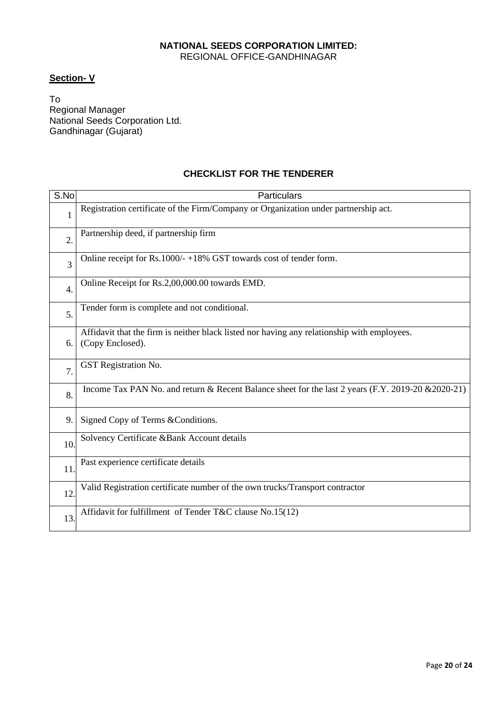# **NATIONAL SEEDS CORPORATION LIMITED:**  REGIONAL OFFICE-GANDHINAGAR

# **Section- V**

To Regional Manager National Seeds Corporation Ltd. Gandhinagar (Gujarat)

# **CHECKLIST FOR THE TENDERER**

| S.No             | <b>Particulars</b>                                                                                              |
|------------------|-----------------------------------------------------------------------------------------------------------------|
| 1                | Registration certificate of the Firm/Company or Organization under partnership act.                             |
| $\overline{2}$ . | Partnership deed, if partnership firm                                                                           |
| 3                | Online receipt for Rs.1000/-+18% GST towards cost of tender form.                                               |
| 4.               | Online Receipt for Rs.2,00,000.00 towards EMD.                                                                  |
| 5.               | Tender form is complete and not conditional.                                                                    |
| 6.               | Affidavit that the firm is neither black listed nor having any relationship with employees.<br>(Copy Enclosed). |
| $\overline{7}$ . | <b>GST</b> Registration No.                                                                                     |
| 8.               | Income Tax PAN No. and return & Recent Balance sheet for the last 2 years (F.Y. 2019-20 & 2020-21)              |
| 9.               | Signed Copy of Terms & Conditions.                                                                              |
| 10.              | Solvency Certificate &Bank Account details                                                                      |
| 11               | Past experience certificate details                                                                             |
| 12               | Valid Registration certificate number of the own trucks/Transport contractor                                    |
| 13               | Affidavit for fulfillment of Tender T&C clause No.15(12)                                                        |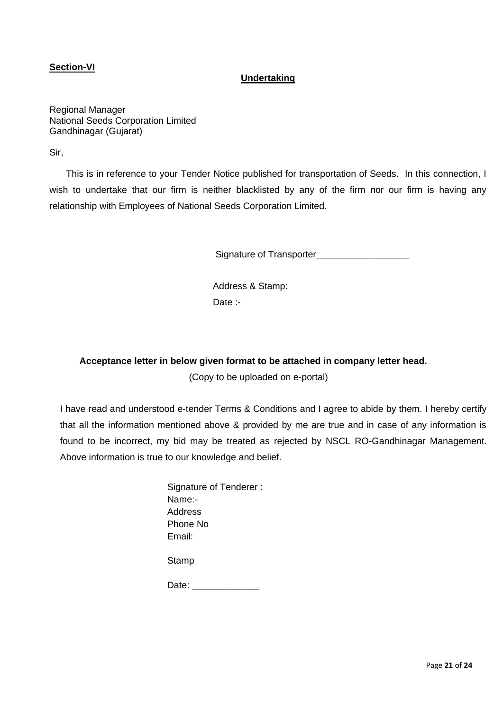# **Section-VI**

#### **Undertaking**

Regional Manager National Seeds Corporation Limited Gandhinagar (Gujarat)

Sir,

 This is in reference to your Tender Notice published for transportation of Seeds. In this connection, I wish to undertake that our firm is neither blacklisted by any of the firm nor our firm is having any relationship with Employees of National Seeds Corporation Limited.

Signature of Transporter\_\_\_\_\_\_\_\_\_\_\_\_\_\_\_\_\_\_

Address & Stamp: Date :-

#### **Acceptance letter in below given format to be attached in company letter head.**

(Copy to be uploaded on e-portal)

I have read and understood e-tender Terms & Conditions and I agree to abide by them. I hereby certify that all the information mentioned above & provided by me are true and in case of any information is found to be incorrect, my bid may be treated as rejected by NSCL RO-Gandhinagar Management. Above information is true to our knowledge and belief.

| Signature of Tenderer: |
|------------------------|
| Name:-                 |
| Address                |
| Phone No               |
| Email:                 |
|                        |

Stamp

Date: \_\_\_\_\_\_\_\_\_\_\_\_\_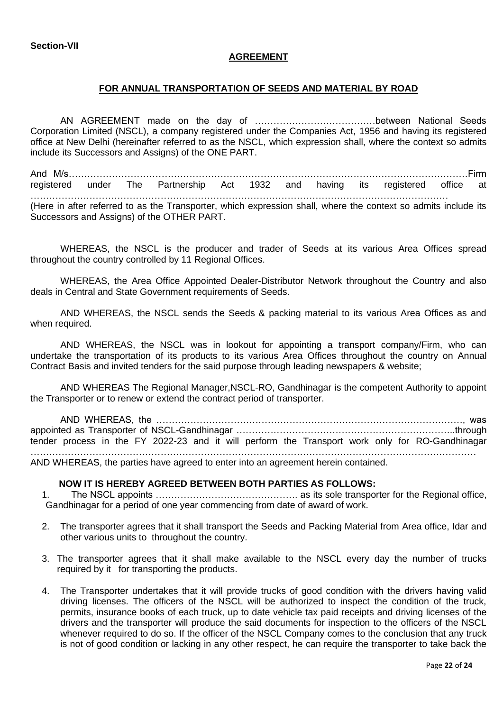**Section-VII**

#### **AGREEMENT**

#### **FOR ANNUAL TRANSPORTATION OF SEEDS AND MATERIAL BY ROAD**

AN AGREEMENT made on the day of …………………………………between National Seeds Corporation Limited (NSCL), a company registered under the Companies Act, 1956 and having its registered office at New Delhi (hereinafter referred to as the NSCL, which expression shall, where the context so admits include its Successors and Assigns) of the ONE PART.

And M/s…………………………………………………………………………………………………………………Firm registered under The Partnership Act 1932 and having its registered office at ……………………………………………………………………………………………………………………… (Here in after referred to as the Transporter, which expression shall, where the context so admits include its Successors and Assigns) of the OTHER PART.

WHEREAS, the NSCL is the producer and trader of Seeds at its various Area Offices spread throughout the country controlled by 11 Regional Offices.

WHEREAS, the Area Office Appointed Dealer-Distributor Network throughout the Country and also deals in Central and State Government requirements of Seeds.

AND WHEREAS, the NSCL sends the Seeds & packing material to its various Area Offices as and when required.

AND WHEREAS, the NSCL was in lookout for appointing a transport company/Firm, who can undertake the transportation of its products to its various Area Offices throughout the country on Annual Contract Basis and invited tenders for the said purpose through leading newspapers & website;

AND WHEREAS The Regional Manager,NSCL-RO, Gandhinagar is the competent Authority to appoint the Transporter or to renew or extend the contract period of transporter.

AND WHEREAS, the ………………………………………………………………………………………, was appointed as Transporter of NSCL-Gandhinagar ……………………………………………………………..through tender process in the FY 2022-23 and it will perform the Transport work only for RO-Gandhinagar ………………………………………………………………………………………………………………………………

AND WHEREAS, the parties have agreed to enter into an agreement herein contained.

#### **NOW IT IS HEREBY AGREED BETWEEN BOTH PARTIES AS FOLLOWS:**

1. The NSCL appoints ………………………………………. as its sole transporter for the Regional office, Gandhinagar for a period of one year commencing from date of award of work.

- 2. The transporter agrees that it shall transport the Seeds and Packing Material from Area office, Idar and other various units to throughout the country.
- 3. The transporter agrees that it shall make available to the NSCL every day the number of trucks required by it for transporting the products.
- 4. The Transporter undertakes that it will provide trucks of good condition with the drivers having valid driving licenses. The officers of the NSCL will be authorized to inspect the condition of the truck, permits, insurance books of each truck, up to date vehicle tax paid receipts and driving licenses of the drivers and the transporter will produce the said documents for inspection to the officers of the NSCL whenever required to do so. If the officer of the NSCL Company comes to the conclusion that any truck is not of good condition or lacking in any other respect, he can require the transporter to take back the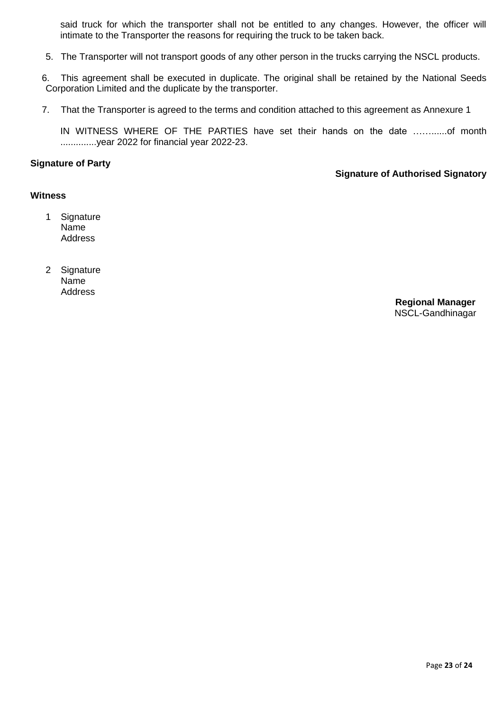said truck for which the transporter shall not be entitled to any changes. However, the officer will intimate to the Transporter the reasons for requiring the truck to be taken back.

- 5. The Transporter will not transport goods of any other person in the trucks carrying the NSCL products.
- 6. This agreement shall be executed in duplicate. The original shall be retained by the National Seeds Corporation Limited and the duplicate by the transporter.
- 7. That the Transporter is agreed to the terms and condition attached to this agreement as Annexure 1

IN WITNESS WHERE OF THE PARTIES have set their hands on the date ……......of month ..............year 2022 for financial year 2022-23.

#### **Signature of Party**

#### **Signature of Authorised Signatory**

#### **Witness**

- 1 Signature Name Address
- 2 Signature Name Address

**Regional Manager** NSCL-Gandhinagar